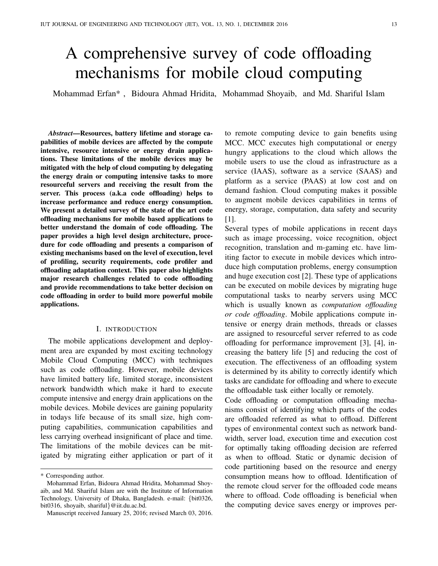# A comprehensive survey of code offloading mechanisms for mobile cloud computing

Mohammad Erfan\* , Bidoura Ahmad Hridita, Mohammad Shoyaib, and Md. Shariful Islam

*Abstract*—Resources, battery lifetime and storage capabilities of mobile devices are affected by the compute intensive, resource intensive or energy drain applications. These limitations of the mobile devices may be mitigated with the help of cloud computing by delegating the energy drain or computing intensive tasks to more resourceful servers and receiving the result from the server. This process (a.k.a code offloading) helps to increase performance and reduce energy consumption. We present a detailed survey of the state of the art code offloading mechanisms for mobile based applications to better understand the domain of code offloading. The paper provides a high level design architecture, procedure for code offloading and presents a comparison of existing mechanisms based on the level of execution, level of profiling, security requirements, code profiler and offloading adaptation context. This paper also highlights major research challenges related to code offloading and provide recommendations to take better decision on code offloading in order to build more powerful mobile applications.

#### I. INTRODUCTION

The mobile applications development and deployment area are expanded by most exciting technology Mobile Cloud Computing (MCC) with techniques such as code offloading. However, mobile devices have limited battery life, limited storage, inconsistent network bandwidth which make it hard to execute compute intensive and energy drain applications on the mobile devices. Mobile devices are gaining popularity in todays life because of its small size, high computing capabilities, communication capabilities and less carrying overhead insignificant of place and time. The limitations of the mobile devices can be mitigated by migrating either application or part of it

to remote computing device to gain benefits using MCC. MCC executes high computational or energy hungry applications to the cloud which allows the mobile users to use the cloud as infrastructure as a service (IAAS), software as a service (SAAS) and platform as a service (PAAS) at low cost and on demand fashion. Cloud computing makes it possible to augment mobile devices capabilities in terms of energy, storage, computation, data safety and security [1].

Several types of mobile applications in recent days such as image processing, voice recognition, object recognition, translation and m-gaming etc. have limiting factor to execute in mobile devices which introduce high computation problems, energy consumption and huge execution cost [2]. These type of applications can be executed on mobile devices by migrating huge computational tasks to nearby servers using MCC which is usually known as *computation offloading or code offloading*. Mobile applications compute intensive or energy drain methods, threads or classes are assigned to resourceful server referred to as code offloading for performance improvement [3], [4], increasing the battery life [5] and reducing the cost of execution. The effectiveness of an offloading system is determined by its ability to correctly identify which tasks are candidate for offloading and where to execute the offloadable task either locally or remotely.

Code offloading or computation offloading mechanisms consist of identifying which parts of the codes are offloaded referred as what to offload. Different types of environmental context such as network bandwidth, server load, execution time and execution cost for optimally taking offloading decision are referred as when to offload. Static or dynamic decision of code partitioning based on the resource and energy consumption means how to offload. Identification of the remote cloud server for the offloaded code means where to offload. Code offloading is beneficial when the computing device saves energy or improves per-

<sup>\*</sup> Corresponding author.

Mohammad Erfan, Bidoura Ahmad Hridita, Mohammad Shoyaib, and Md. Shariful Islam are with the Institute of Information Technology, University of Dhaka, Bangladesh. e-mail: {bit0326, bit0316, shoyaib, shariful}@iit.du.ac.bd.

Manuscript received January 25, 2016; revised March 03, 2016.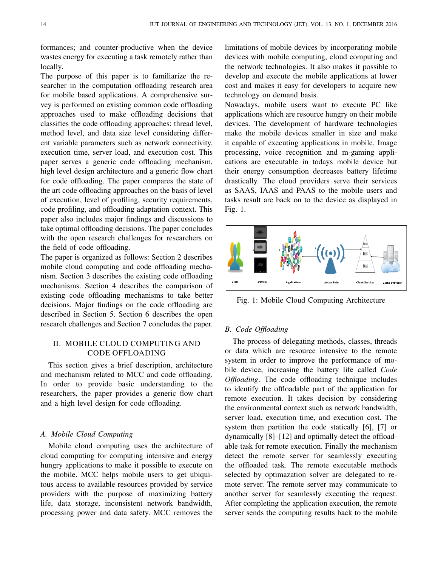formances; and counter-productive when the device wastes energy for executing a task remotely rather than locally.

The purpose of this paper is to familiarize the researcher in the computation offloading research area for mobile based applications. A comprehensive survey is performed on existing common code offloading approaches used to make offloading decisions that classifies the code offloading approaches: thread level, method level, and data size level considering different variable parameters such as network connectivity, execution time, server load, and execution cost. This paper serves a generic code offloading mechanism, high level design architecture and a generic flow chart for code offloading. The paper compares the state of the art code offloading approaches on the basis of level of execution, level of profiling, security requirements, code profiling, and offloading adaptation context. This paper also includes major findings and discussions to take optimal offloading decisions. The paper concludes with the open research challenges for researchers on the field of code offloading.

The paper is organized as follows: Section 2 describes mobile cloud computing and code offloading mechanism. Section 3 describes the existing code offloading mechanisms. Section 4 describes the comparison of existing code offloading mechanisms to take better decisions. Major findings on the code offloading are described in Section 5. Section 6 describes the open research challenges and Section 7 concludes the paper.

## II. MOBILE CLOUD COMPUTING AND CODE OFFLOADING

This section gives a brief description, architecture and mechanism related to MCC and code offloading. In order to provide basic understanding to the researchers, the paper provides a generic flow chart and a high level design for code offloading.

## *A. Mobile Cloud Computing*

Mobile cloud computing uses the architecture of cloud computing for computing intensive and energy hungry applications to make it possible to execute on the mobile. MCC helps mobile users to get ubiquitous access to available resources provided by service providers with the purpose of maximizing battery life, data storage, inconsistent network bandwidth, processing power and data safety. MCC removes the

limitations of mobile devices by incorporating mobile devices with mobile computing, cloud computing and the network technologies. It also makes it possible to develop and execute the mobile applications at lower cost and makes it easy for developers to acquire new technology on demand basis.

Nowadays, mobile users want to execute PC like applications which are resource hungry on their mobile devices. The development of hardware technologies make the mobile devices smaller in size and make it capable of executing applications in mobile. Image processing, voice recognition and m-gaming applications are executable in todays mobile device but their energy consumption decreases battery lifetime drastically. The cloud providers serve their services as SAAS, IAAS and PAAS to the mobile users and tasks result are back on to the device as displayed in Fig. 1.



Fig. 1: Mobile Cloud Computing Architecture

## *B. Code Offloading*

The process of delegating methods, classes, threads or data which are resource intensive to the remote system in order to improve the performance of mobile device, increasing the battery life called *Code Offloading*. The code offloading technique includes to identify the offloadable part of the application for remote execution. It takes decision by considering the environmental context such as network bandwidth, server load, execution time, and execution cost. The system then partition the code statically [6], [7] or dynamically [8]–[12] and optimally detect the offloadable task for remote execution. Finally the mechanism detect the remote server for seamlessly executing the offloaded task. The remote executable methods selected by optimazation solver are delegated to remote server. The remote server may communicate to another server for seamlessly executing the request. After completing the application execution, the remote server sends the computing results back to the mobile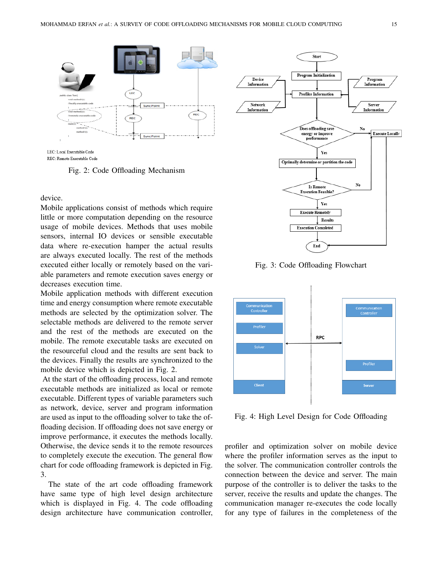

LEC: Local Executable Code REC: Remote Executable Code

Fig. 2: Code Offloading Mechanism

device.

Mobile applications consist of methods which require little or more computation depending on the resource usage of mobile devices. Methods that uses mobile sensors, internal IO devices or sensible executable data where re-execution hamper the actual results are always executed locally. The rest of the methods executed either locally or remotely based on the variable parameters and remote execution saves energy or decreases execution time.

Mobile application methods with different execution time and energy consumption where remote executable methods are selected by the optimization solver. The selectable methods are delivered to the remote server and the rest of the methods are executed on the mobile. The remote executable tasks are executed on the resourceful cloud and the results are sent back to the devices. Finally the results are synchronized to the mobile device which is depicted in Fig. 2.

At the start of the offloading process, local and remote executable methods are initialized as local or remote executable. Different types of variable parameters such as network, device, server and program information are used as input to the offloading solver to take the offloading decision. If offloading does not save energy or improve performance, it executes the methods locally. Otherwise, the device sends it to the remote resources to completely execute the execution. The general flow chart for code offloading framework is depicted in Fig. 3.

The state of the art code offloading framework have same type of high level design architecture which is displayed in Fig. 4. The code offloading design architecture have communication controller,



Fig. 3: Code Offloading Flowchart



Fig. 4: High Level Design for Code Offloading

profiler and optimization solver on mobile device where the profiler information serves as the input to the solver. The communication controller controls the connection between the device and server. The main purpose of the controller is to deliver the tasks to the server, receive the results and update the changes. The communication manager re-executes the code locally for any type of failures in the completeness of the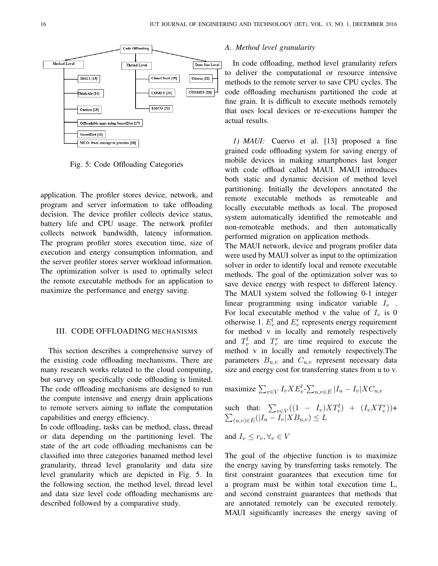

Fig. 5: Code Offloading Categories

application. The profiler stores device, network, and program and server information to take offloading decision. The device profiler collects device status, battery life and CPU usage. The network profiler collects network bandwidth, latency information. The program profiler stores execution time, size of execution and energy consumption information, and the server profiler stores server workload information. The optimization solver is used to optimally select the remote executable methods for an application to maximize the performance and energy saving.

## III. CODE OFFLOADING MECHANISMS

This section describes a comprehensive survey of the existing code offloading mechanisms. There are many research works related to the cloud computing, but survey on specifically code offloading is limited. The code offloading mechanisms are designed to run the compute intensive and energy drain applications to remote servers aiming to inflate the computation capabilities and energy efficiency.

In code offloading, tasks can be method, class, thread or data depending on the partitioning level. The state of the art code offloading mechanisms can be classified into three categories banamed method level granularity, thread level granularity and data size level granularity which are depicted in Fig. 5. In the following section, the method level, thread level and data size level code offloading mechanisms are described followed by a comparative study.

## *A. Method level granularity*

In code offloading, method level granularity refers to deliver the computational or resource intensive methods to the remote server to save CPU cycles. The code offloading mechanism partitioned the code at fine grain. It is difficult to execute methods remotely that uses local devices or re-executions hamper the actual results.

*1) MAUI:* Cuervo et al. [13] proposed a fine grained code offloading system for saving energy of mobile devices in making smartphones last longer with code offload called MAUI. MAUI introduces both static and dynamic decision of method level partitioning. Initially the developers annotated the remote executable methods as remoteable and locally executable methods as local. The proposed system automatically identified the remoteable and non-remoteable methods, and then automatically performed migration on application methods.

The MAUI network, device and program profiler data were used by MAUI solver as input to the optimization solver in order to identify local and remote executable methods. The goal of the optimization solver was to save device energy with respect to different latency. The MAUI system solved the following 0-1 integer linear programming using indicator variable  $I_v$ . For local executable method v the value of  $I_v$  is 0 otherwise 1.  $E_v^l$  and  $E_v^r$  represents energy requirement for method v in locally and remotely respectively and  $T_v^l$  and  $T_v^r$  are time required to execute the method v in locally and remotely respectively.The parameters  $B_{u,v}$  and  $C_{u,v}$  represent necessary data size and energy cost for transferring states from u to v.

$$
\text{maximize } \sum_{v \in V} I_v X E_v^l \text{-} \sum_{u,v \in E} |I_u - I_v| X C_{u,v}
$$

such that: 
$$
\sum_{v \in V} ((1 - I_v)XT_v^l) + (I_vXT_v^r)) +
$$
  
 $\sum_{(u,v) \in E} (|I_u - I_v|XB_{u,v}) \leq L$ 

and 
$$
I_v \leq r_v, \forall_v \in V
$$

The goal of the objective function is to maximize the energy saving by transferring tasks remotely. The first constraint guarantees that execution time for a program must be within total execution time L, and second constraint guarantees that methods that are annotated remotely can be executed remotely. MAUI significantly increases the energy saving of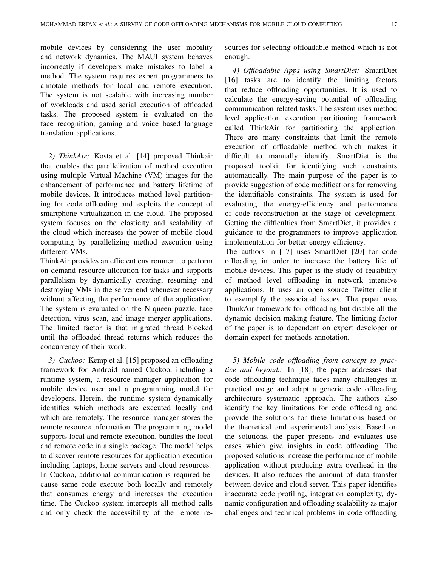mobile devices by considering the user mobility and network dynamics. The MAUI system behaves incorrectly if developers make mistakes to label a method. The system requires expert programmers to annotate methods for local and remote execution. The system is not scalable with increasing number of workloads and used serial execution of offloaded tasks. The proposed system is evaluated on the face recognition, gaming and voice based language translation applications.

*2) ThinkAir:* Kosta et al. [14] proposed Thinkair that enables the parallelization of method execution using multiple Virtual Machine (VM) images for the enhancement of performance and battery lifetime of mobile devices. It introduces method level partitioning for code offloading and exploits the concept of smartphone virtualization in the cloud. The proposed system focuses on the elasticity and scalability of the cloud which increases the power of mobile cloud computing by parallelizing method execution using different VMs.

ThinkAir provides an efficient environment to perform on-demand resource allocation for tasks and supports parallelism by dynamically creating, resuming and destroying VMs in the server end whenever necessary without affecting the performance of the application. The system is evaluated on the N-queen puzzle, face detection, virus scan, and image merger applications. The limited factor is that migrated thread blocked until the offloaded thread returns which reduces the concurrency of their work.

*3) Cuckoo:* Kemp et al. [15] proposed an offloading framework for Android named Cuckoo, including a runtime system, a resource manager application for mobile device user and a programming model for developers. Herein, the runtime system dynamically identifies which methods are executed locally and which are remotely. The resource manager stores the remote resource information. The programming model supports local and remote execution, bundles the local and remote code in a single package. The model helps to discover remote resources for application execution including laptops, home servers and cloud resources. In Cuckoo, additional communication is required because same code execute both locally and remotely that consumes energy and increases the execution time. The Cuckoo system intercepts all method calls and only check the accessibility of the remote resources for selecting offloadable method which is not enough.

*4) Offloadable Apps using SmartDiet:* SmartDiet [16] tasks are to identify the limiting factors that reduce offloading opportunities. It is used to calculate the energy-saving potential of offloading communication-related tasks. The system uses method level application execution partitioning framework called ThinkAir for partitioning the application. There are many constraints that limit the remote execution of offloadable method which makes it difficult to manually identify. SmartDiet is the proposed toolkit for identifying such constraints automatically. The main purpose of the paper is to provide suggestion of code modifications for removing the identifiable constraints. The system is used for evaluating the energy-efficiency and performance of code reconstruction at the stage of development. Getting the difficulties from SmartDiet, it provides a guidance to the programmers to improve application implementation for better energy efficiency.

The authors in [17] uses SmartDiet [20] for code offloading in order to increase the battery life of mobile devices. This paper is the study of feasibility of method level offloading in network intensive applications. It uses an open source Twitter client to exemplify the associated issues. The paper uses ThinkAir framework for offloading but disable all the dynamic decision making feature. The limiting factor of the paper is to dependent on expert developer or domain expert for methods annotation.

*5) Mobile code offloading from concept to practice and beyond.:* In [18], the paper addresses that code offloading technique faces many challenges in practical usage and adapt a generic code offloading architecture systematic approach. The authors also identify the key limitations for code offloading and provide the solutions for these limitations based on the theoretical and experimental analysis. Based on the solutions, the paper presents and evaluates use cases which give insights in code offloading. The proposed solutions increase the performance of mobile application without producing extra overhead in the devices. It also reduces the amount of data transfer between device and cloud server. This paper identifies inaccurate code profiling, integration complexity, dynamic configuration and offloading scalability as major challenges and technical problems in code offloading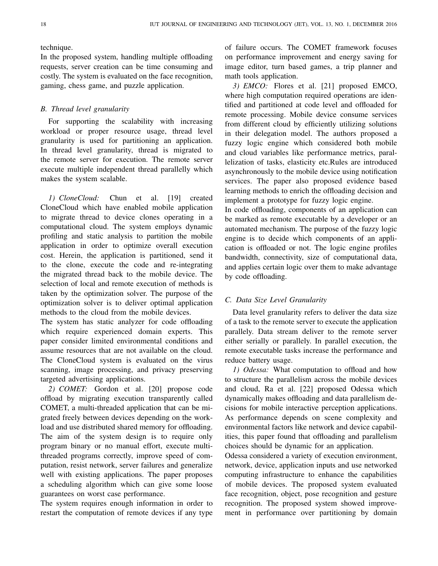technique.

In the proposed system, handling multiple offloading requests, server creation can be time consuming and costly. The system is evaluated on the face recognition, gaming, chess game, and puzzle application.

#### *B. Thread level granularity*

For supporting the scalability with increasing workload or proper resource usage, thread level granularity is used for partitioning an application. In thread level granularity, thread is migrated to the remote server for execution. The remote server execute multiple independent thread parallelly which makes the system scalable.

*1) CloneCloud:* Chun et al. [19] created CloneCloud which have enabled mobile application to migrate thread to device clones operating in a computational cloud. The system employs dynamic profiling and static analysis to partition the mobile application in order to optimize overall execution cost. Herein, the application is partitioned, send it to the clone, execute the code and re-integrating the migrated thread back to the mobile device. The selection of local and remote execution of methods is taken by the optimization solver. The purpose of the optimization solver is to deliver optimal application methods to the cloud from the mobile devices.

The system has static analyzer for code offloading which require experienced domain experts. This paper consider limited environmental conditions and assume resources that are not available on the cloud. The CloneCloud system is evaluated on the virus scanning, image processing, and privacy preserving targeted advertising applications.

*2) COMET:* Gordon et al. [20] propose code offload by migrating execution transparently called COMET, a multi-threaded application that can be migrated freely between devices depending on the workload and use distributed shared memory for offloading. The aim of the system design is to require only program binary or no manual effort, execute multithreaded programs correctly, improve speed of computation, resist network, server failures and generalize well with existing applications. The paper proposes a scheduling algorithm which can give some loose guarantees on worst case performance.

The system requires enough information in order to restart the computation of remote devices if any type of failure occurs. The COMET framework focuses on performance improvement and energy saving for image editor, turn based games, a trip planner and math tools application.

*3) EMCO:* Flores et al. [21] proposed EMCO, where high computation required operations are identified and partitioned at code level and offloaded for remote processing. Mobile device consume services from different cloud by efficiently utilizing solutions in their delegation model. The authors proposed a fuzzy logic engine which considered both mobile and cloud variables like performance metrics, parallelization of tasks, elasticity etc.Rules are introduced asynchronously to the mobile device using notification services. The paper also proposed evidence based learning methods to enrich the offloading decision and implement a prototype for fuzzy logic engine.

In code offloading, components of an application can be marked as remote executable by a developer or an automated mechanism. The purpose of the fuzzy logic engine is to decide which components of an application is offloaded or not. The logic engine profiles bandwidth, connectivity, size of computational data, and applies certain logic over them to make advantage by code offloading.

#### *C. Data Size Level Granularity*

Data level granularity refers to deliver the data size of a task to the remote server to execute the application parallely. Data stream deliver to the remote server either serially or parallely. In parallel execution, the remote executable tasks increase the performance and reduce battery usage.

*1) Odessa:* What computation to offload and how to structure the parallelism across the mobile devices and cloud, Ra et al. [22] proposed Odessa which dynamically makes offloading and data parallelism decisions for mobile interactive perception applications. As performance depends on scene complexity and environmental factors like network and device capabilities, this paper found that offloading and parallelism choices should be dynamic for an application.

Odessa considered a variety of execution environment, network, device, application inputs and use networked computing infrastructure to enhance the capabilities of mobile devices. The proposed system evaluated face recognition, object, pose recognition and gesture recognition. The proposed system showed improvement in performance over partitioning by domain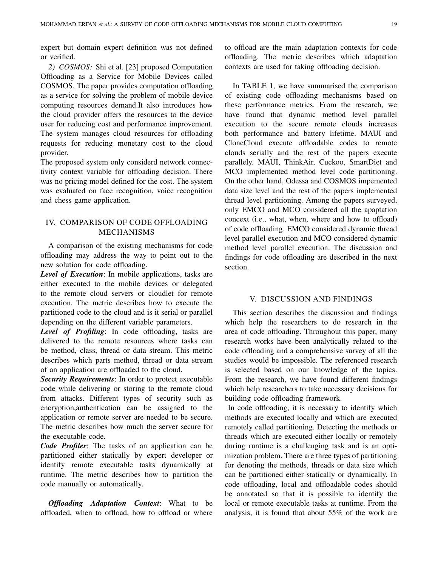expert but domain expert definition was not defined or verified.

*2) COSMOS:* Shi et al. [23] proposed Computation Offloading as a Service for Mobile Devices called COSMOS. The paper provides computation offloading as a service for solving the problem of mobile device computing resources demand.It also introduces how the cloud provider offers the resources to the device user for reducing cost and performance improvement. The system manages cloud resources for offloading requests for reducing monetary cost to the cloud provider.

The proposed system only considerd network connectivity context variable for offloading decision. There was no pricing model defined for the cost. The system was evaluated on face recognition, voice recognition and chess game application.

# IV. COMPARISON OF CODE OFFLOADING MECHANISMS

A comparison of the existing mechanisms for code offloading may address the way to point out to the new solution for code offloading.

*Level of Execution*: In mobile applications, tasks are either executed to the mobile devices or delegated to the remote cloud servers or cloudlet for remote execution. The metric describes how to execute the partitioned code to the cloud and is it serial or parallel depending on the different variable parameters.

*Level of Profiling*: In code offloading, tasks are delivered to the remote resources where tasks can be method, class, thread or data stream. This metric describes which parts method, thread or data stream of an application are offloaded to the cloud.

*Security Requirements*: In order to protect executable code while delivering or storing to the remote cloud from attacks. Different types of security such as encryption,authentication can be assigned to the application or remote server are needed to be secure. The metric describes how much the server secure for the executable code.

*Code Profiler*: The tasks of an application can be partitioned either statically by expert developer or identify remote executable tasks dynamically at runtime. The metric describes how to partition the code manually or automatically.

*Offloading Adaptation Context*: What to be offloaded, when to offload, how to offload or where to offload are the main adaptation contexts for code offloading. The metric describes which adaptation contexts are used for taking offloading decision.

In TABLE 1, we have summarised the comparison of existing code offloading mechanisms based on these performance metrics. From the research, we have found that dynamic method level parallel execution to the secure remote clouds increases both performance and battery lifetime. MAUI and CloneCloud execute offloadable codes to remote clouds serially and the rest of the papers execute parallely. MAUI, ThinkAir, Cuckoo, SmartDiet and MCO implemented method level code partitioning. On the other hand, Odessa and COSMOS impemented data size level and the rest of the papers implemented thread level partitioning. Among the papers surveyed, only EMCO and MCO considered all the apaptation concext (i.e., what, when, where and how to offload) of code offloading. EMCO considered dynamic thread level parallel execution and MCO considered dynamic method level parallel execution. The discussion and findings for code offloading are described in the next section.

## V. DISCUSSION AND FINDINGS

This section describes the discussion and findings which help the researchers to do research in the area of code offloading. Throughout this paper, many research works have been analytically related to the code offloading and a comprehensive survey of all the studies would be impossible. The referenced research is selected based on our knowledge of the topics. From the research, we have found different findings which help researchers to take necessary decisions for building code offloading framework.

In code offloading, it is necessary to identify which methods are executed locally and which are executed remotely called partitioning. Detecting the methods or threads which are executed either locally or remotely during runtime is a challenging task and is an optimization problem. There are three types of partitioning for denoting the methods, threads or data size which can be partitioned either statically or dynamically. In code offloading, local and offloadable codes should be annotated so that it is possible to identify the local or remote executable tasks at runtime. From the analysis, it is found that about 55% of the work are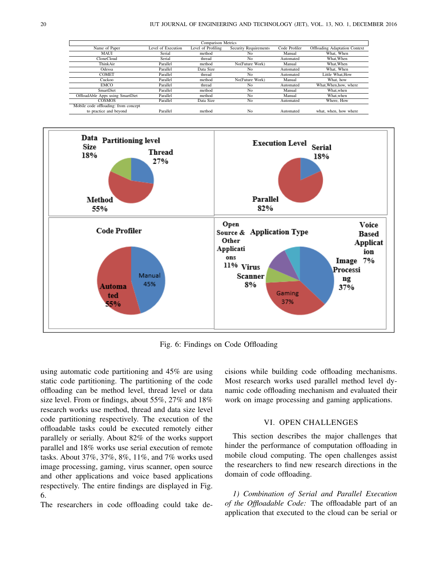| <b>Comparison Metrics</b>            |                    |                    |                              |               |                                      |
|--------------------------------------|--------------------|--------------------|------------------------------|---------------|--------------------------------------|
| Name of Paper                        | Level of Execution | Level of Profiling | <b>Security Requirements</b> | Code Profiler | <b>Offloading Adaptation Context</b> |
| MAUI                                 | Serial             | method             | No                           | Manual        | What, When                           |
| <b>CloneCloud</b>                    | Serial             | thread             | No                           | Automated     | What. When                           |
| ThinkAir                             | Parallel           | method             | No(Future Work)              | Manual        | What. When                           |
| Odessa                               | Parallel           | Data Size          | No                           | Automated     | What, When                           |
| <b>COMET</b>                         | Parallel           | thread             | No                           | Automated     | Little What.How                      |
| Cuckoo                               | Parallel           | method             | No(Future Work)              | Manual        | What, how                            |
| <b>EMCO</b>                          | Parallel           | thread             | No                           | Automated     | What, When, how, where               |
| SmartDiet                            | Parallel           | method             | No                           | Manual        | What, when                           |
| OffloadAble Apps using SmartDiet     | Parallel           | method             | N <sub>0</sub>               | Manual        | What, when                           |
| <b>COSMOS</b>                        | Parallel           | Data Size          | No                           | Automated     | Where, How                           |
| Mobile code offloading: from concept |                    |                    |                              |               |                                      |
| to practice and beyond               | Parallel           | method             | N <sub>o</sub>               | Automated     | what, when, how where                |



Fig. 6: Findings on Code Offloading

using automatic code partitioning and 45% are using static code partitioning. The partitioning of the code offloading can be method level, thread level or data size level. From or findings, about 55%, 27% and 18% research works use method, thread and data size level code partitioning respectively. The execution of the offloadable tasks could be executed remotely either parallely or serially. About 82% of the works support parallel and 18% works use serial execution of remote tasks. About 37%, 37%, 8%, 11%, and 7% works used image processing, gaming, virus scanner, open source and other applications and voice based applications respectively. The entire findings are displayed in Fig. 6.

The researchers in code offloading could take de-

cisions while building code offloading mechanisms. Most research works used parallel method level dynamic code offloading mechanism and evaluated their work on image processing and gaming applications.

## VI. OPEN CHALLENGES

This section describes the major challenges that hinder the performance of computation offloading in mobile cloud computing. The open challenges assist the researchers to find new research directions in the domain of code offloading.

*1) Combination of Serial and Parallel Execution of the Offloadable Code:* The offloadable part of an application that executed to the cloud can be serial or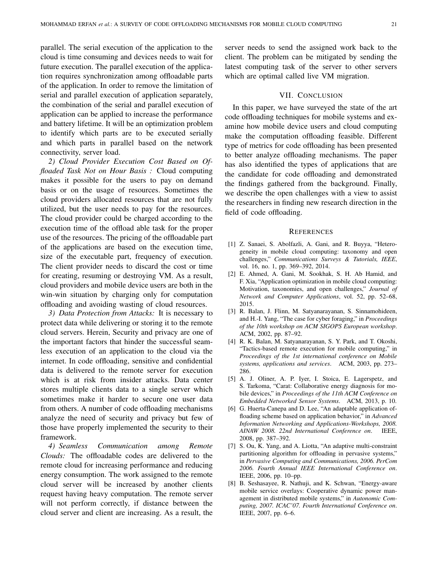parallel. The serial execution of the application to the cloud is time consuming and devices needs to wait for future execution. The parallel execution of the application requires synchronization among offloadable parts of the application. In order to remove the limitation of serial and parallel execution of application separately, the combination of the serial and parallel execution of application can be applied to increase the performance and battery lifetime. It will be an optimization problem to identify which parts are to be executed serially and which parts in parallel based on the network connectivity, server load.

*2) Cloud Provider Execution Cost Based on Offloaded Task Not on Hour Basis :* Cloud computing makes it possible for the users to pay on demand basis or on the usage of resources. Sometimes the cloud providers allocated resources that are not fully utilized, but the user needs to pay for the resources. The cloud provider could be charged according to the execution time of the offload able task for the proper use of the resources. The pricing of the offloadable part of the applications are based on the execution time, size of the executable part, frequency of execution. The client provider needs to discard the cost or time for creating, resuming or destroying VM. As a result, cloud providers and mobile device users are both in the win-win situation by charging only for computation offloading and avoiding wasting of cloud resources.

*3) Data Protection from Attacks:* It is necessary to protect data while delivering or storing it to the remote cloud servers. Herein, Security and privacy are one of the important factors that hinder the successful seamless execution of an application to the cloud via the internet. In code offloading, sensitive and confidential data is delivered to the remote server for execution which is at risk from insider attacks. Data center stores multiple clients data to a single server which sometimes make it harder to secure one user data from others. A number of code offloading mechanisms analyze the need of security and privacy but few of those have properly implemented the security to their framework.

*4) Seamless Communication among Remote Clouds:* The offloadable codes are delivered to the remote cloud for increasing performance and reducing energy consumption. The work assigned to the remote cloud server will be increased by another clients request having heavy computation. The remote server will not perform correctly, if distance between the cloud server and client are increasing. As a result, the

server needs to send the assigned work back to the client. The problem can be mitigated by sending the latest computing task of the server to other servers which are optimal called live VM migration.

#### VII. CONCLUSION

In this paper, we have surveyed the state of the art code offloading techniques for mobile systems and examine how mobile device users and cloud computing make the computation offloading feasible. Different type of metrics for code offloading has been presented to better analyze offloading mechanisms. The paper has also identified the types of applications that are the candidate for code offloading and demonstrated the findings gathered from the background. Finally, we describe the open challenges with a view to assist the researchers in finding new research direction in the field of code offloading.

#### **REFERENCES**

- [1] Z. Sanaei, S. Abolfazli, A. Gani, and R. Buyya, "Heterogeneity in mobile cloud computing: taxonomy and open challenges," *Communications Surveys & Tutorials, IEEE*, vol. 16, no. 1, pp. 369–392, 2014.
- [2] E. Ahmed, A. Gani, M. Sookhak, S. H. Ab Hamid, and F. Xia, "Application optimization in mobile cloud computing: Motivation, taxonomies, and open challenges," *Journal of Network and Computer Applications*, vol. 52, pp. 52–68, 2015.
- [3] R. Balan, J. Flinn, M. Satyanarayanan, S. Sinnamohideen, and H.-I. Yang, "The case for cyber foraging," in *Proceedings of the 10th workshop on ACM SIGOPS European workshop*. ACM, 2002, pp. 87–92.
- [4] R. K. Balan, M. Satyanarayanan, S. Y. Park, and T. Okoshi, "Tactics-based remote execution for mobile computing," in *Proceedings of the 1st international conference on Mobile systems, applications and services*. ACM, 2003, pp. 273– 286.
- [5] A. J. Oliner, A. P. Iyer, I. Stoica, E. Lagerspetz, and S. Tarkoma, "Carat: Collaborative energy diagnosis for mobile devices," in *Proceedings of the 11th ACM Conference on Embedded Networked Sensor Systems*. ACM, 2013, p. 10.
- [6] G. Huerta-Canepa and D. Lee, "An adaptable application offloading scheme based on application behavior," in *Advanced Information Networking and Applications-Workshops, 2008. AINAW 2008. 22nd International Conference on*. IEEE, 2008, pp. 387–392.
- [7] S. Ou, K. Yang, and A. Liotta, "An adaptive multi-constraint partitioning algorithm for offloading in pervasive systems," in *Pervasive Computing and Communications, 2006. PerCom 2006. Fourth Annual IEEE International Conference on*. IEEE, 2006, pp. 10–pp.
- [8] B. Seshasayee, R. Nathuji, and K. Schwan, "Energy-aware mobile service overlays: Cooperative dynamic power management in distributed mobile systems," in *Autonomic Computing, 2007. ICAC'07. Fourth International Conference on*. IEEE, 2007, pp. 6–6.